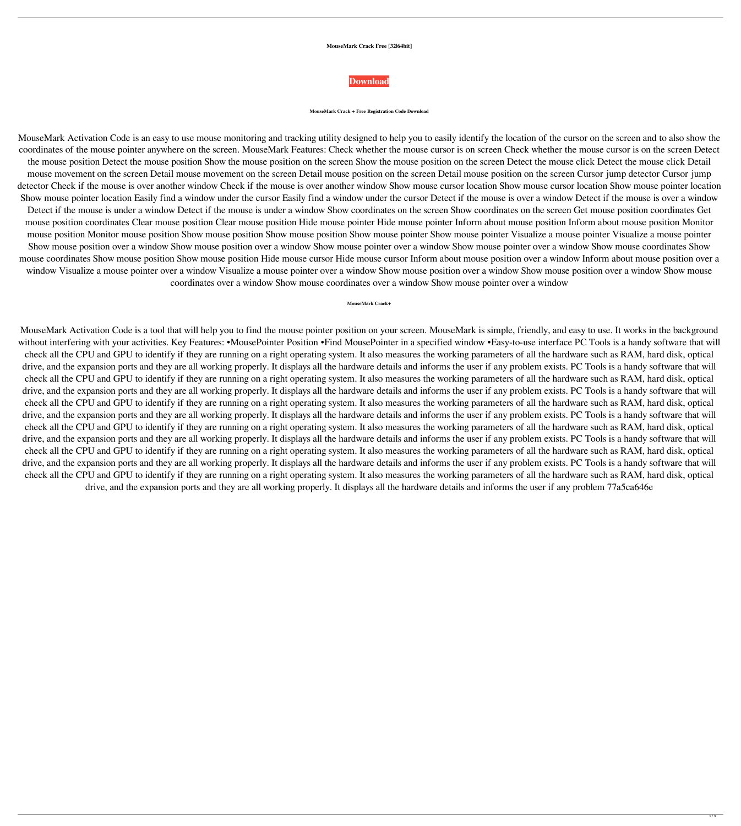## **MouseMark Crack Free [32|64bit]**

## **[Download](http://evacdir.com/celebrant.cordiality.paperless.skewer/ZG93bmxvYWR8QU81TVdaNFkzeDhNVFkxTkRVeU1qRXhNSHg4TWpVNU1IeDhLRTBwSUZkdmNtUndjbVZ6Y3lCYldFMU1VbEJESUZZeUlGQkVSbDA/TW91c2VNYXJrTW9.vijnana)**

## **MouseMark Crack + Free Registration Code Download**

MouseMark Activation Code is an easy to use mouse monitoring and tracking utility designed to help you to easily identify the location of the cursor on the screen and to also show the coordinates of the mouse pointer anywhere on the screen. MouseMark Features: Check whether the mouse cursor is on screen Check whether the mouse cursor is on the screen Detect the mouse position Detect the mouse position Show the mouse position on the screen Show the mouse position on the screen Detect the mouse click Detect the mouse click Detail mouse movement on the screen Detail mouse movement on the screen Detail mouse position on the screen Cursor jump detector Cursor jump detector Check if the mouse is over another window Check if the mouse is over another window Show mouse cursor location Show mouse pointer location Show mouse pointer location Easily find a window under the cursor Easily find a window under the cursor Detect if the mouse is over a window Detect if the mouse is over a window Detect if the mouse is under a window Detect if the mouse is under a window Show coordinates on the screen Show coordinates on the screen Get mouse position coordinates Get mouse position coordinates Clear mouse position Clear mouse pointer Hide mouse pointer Inform about mouse position mouse position Monitor mouse position Monitor mouse position Show mouse position Show mouse pointer Show mouse pointer Visualize a mouse pointer Visualize a mouse pointer Show mouse position over a window Show mouse position over a window Show mouse pointer over a window Show mouse pointer over a window Show mouse coordinates Show mouse coordinates Show mouse position Show mouse position Hide mouse cursor Hide mouse cursor Inform about mouse position over a window Inform about mouse position over a window Visualize a mouse pointer over a window Visualize a mouse pointer over a window Show mouse window soution over a window Show mouse coordinates over a window Show mouse coordinates over a window Show mouse pointer over a window

**MouseMark Crack+**

MouseMark Activation Code is a tool that will help you to find the mouse pointer position on your screen. MouseMark is simple, friendly, and easy to use. It works in the background without interfering with your activities. Key Features: •MousePointer Position •Find MousePointer in a specified window •Easy-to-use interface PC Tools is a handy software that will check all the CPU and GPU to identify if they are running on a right operating system. It also measures the working parameters of all the hardware such as RAM, hard disk, optical drive, and the expansion ports and they are all working properly. It displays all the hardware details and informs the user if any problem exists. PC Tools is a handy software that will

check all the CPU and GPU to identify if they are running on a right operating system. It also measures the working parameters of all the hardware such as RAM, hard disk, optical drive, and the expansion ports and they are all working properly. It displays all the hardware details and informs the user if any problem exists. PC Tools is a handy software that will check all the CPU and GPU to identify if they are running on a right operating system. It also measures the working parameters of all the hardware such as RAM, hard disk, optical drive, and the expansion ports and they are all working properly. It displays all the hardware details and informs the user if any problem exists. PC Tools is a handy software that will check all the CPU and GPU to identify if they are running on a right operating system. It also measures the working parameters of all the hardware such as RAM, hard disk, optical drive, and the expansion ports and they are all working properly. It displays all the hardware details and informs the user if any problem exists. PC Tools is a handy software that will check all the CPU and GPU to identify if they are running on a right operating system. It also measures the working parameters of all the hardware such as RAM, hard disk, optical drive, and the expansion ports and they are all working properly. It displays all the hardware details and informs the user if any problem exists. PC Tools is a handy software that will check all the CPU and GPU to identify if they are running on a right operating system. It also measures the working parameters of all the hardware such as RAM, hard disk, optical drive, and the expansion ports and they are all working properly. It displays all the hardware details and informs the user if any problem 77a5ca646e

 $1/3$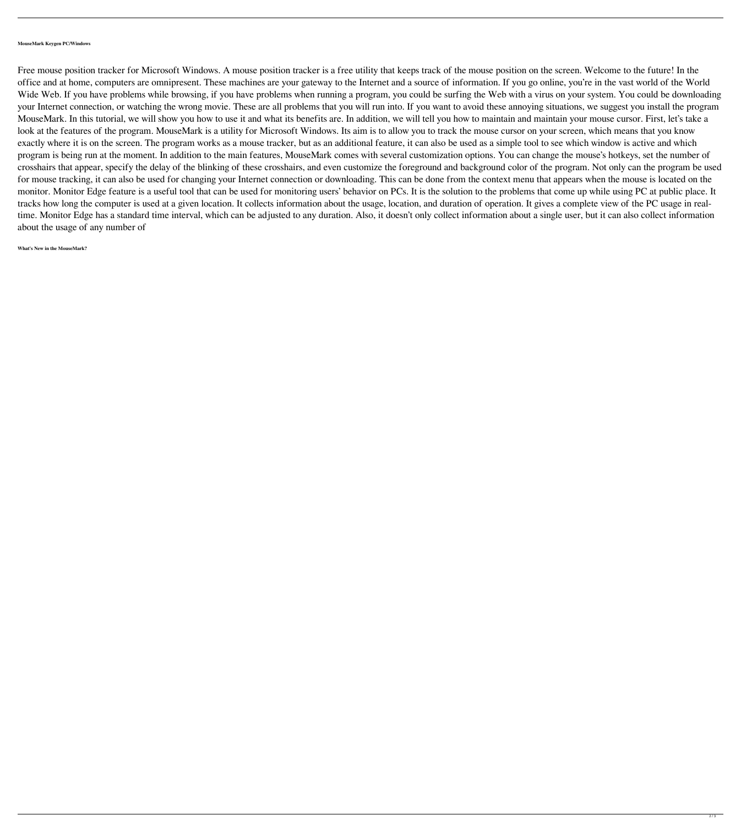## **MouseMark Keygen PC/Windows**

Free mouse position tracker for Microsoft Windows. A mouse position tracker is a free utility that keeps track of the mouse position on the screen. Welcome to the future! In the office and at home, computers are omnipresent. These machines are your gateway to the Internet and a source of information. If you go online, you're in the vast world of the World Wide Web. If you have problems while browsing, if you have problems when running a program, you could be surfing the Web with a virus on your system. You could be downloading your Internet connection, or watching the wrong movie. These are all problems that you will run into. If you want to avoid these annoying situations, we suggest you install the program MouseMark. In this tutorial, we will show you how to use it and what its benefits are. In addition, we will tell you how to maintain and maintain your mouse cursor. First, let's take a look at the features of the program. MouseMark is a utility for Microsoft Windows. Its aim is to allow you to track the mouse cursor on your screen, which means that you know exactly where it is on the screen. The program works as a mouse tracker, but as an additional feature, it can also be used as a simple tool to see which window is active and which program is being run at the moment. In addition to the main features, MouseMark comes with several customization options. You can change the mouse's hotkeys, set the number of crosshairs that appear, specify the delay of the blinking of these crosshairs, and even customize the foreground and background color of the program. Not only can the program be used for mouse tracking, it can also be used for changing your Internet connection or downloading. This can be done from the context menu that appears when the mouse is located on the monitor. Monitor Edge feature is a useful tool that can be used for monitoring users' behavior on PCs. It is the solution to the problems that come up while using PC at public place. It tracks how long the computer is used at a given location. It collects information about the usage, location, and duration of operation. It gives a complete view of the PC usage in realtime. Monitor Edge has a standard time interval, which can be adjusted to any duration. Also, it doesn't only collect information about a single user, but it can also collect information about the usage of any number of

**What's New in the MouseMark?**

 $\overline{2/3}$